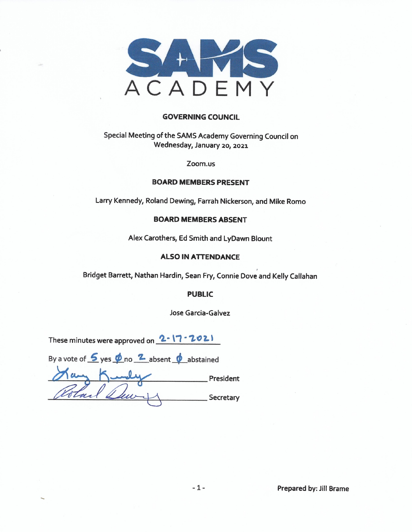

#### **GOVERNING COUNCIL**

# Special Meeting of the SAMS Academy Governing Council on Wednesday, January 20, 2021

Zoom.us

#### **BOARD MEMBERS PRESENT**

Larry Kennedy, Roland Dewing, Farrah Nickerson, and Mike Romo

### **BOARD MEMBERS ABSENT**

Alex Carothers, Ed Smith and LyDawn Blount

#### **ALSO IN ATTENDANCE**

Bridget Barrett, Nathan Hardin, Sean Fry, Connie Dove and Kelly Callahan

#### **PUBLIC**

Jose Garcia-Galvez

These minutes were approved on 2-17-2021

| By a vote of $\frac{6}{5}$ yes $\frac{6}{5}$ no $\frac{2}{5}$ absent $\frac{6}{5}$ abstained |           |
|----------------------------------------------------------------------------------------------|-----------|
|                                                                                              | President |
| Cotal                                                                                        | Secretary |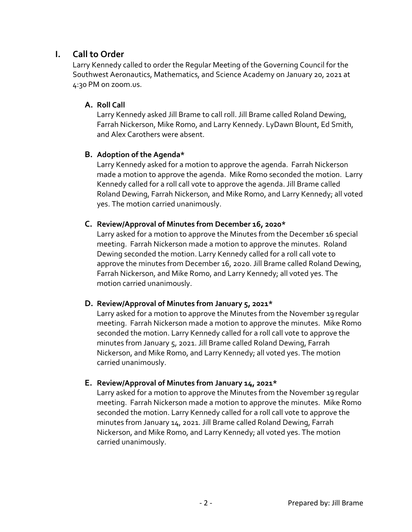# **I. Call to Order**

Larry Kennedy called to order the Regular Meeting of the Governing Council for the Southwest Aeronautics, Mathematics, and Science Academy on January 20, 2021 at 4:30 PM on zoom.us.

### **A. Roll Call**

Larry Kennedy asked Jill Brame to call roll. Jill Brame called Roland Dewing, Farrah Nickerson, Mike Romo, and Larry Kennedy. LyDawn Blount, Ed Smith, and Alex Carothers were absent.

### **B. Adoption of the Agenda\***

Larry Kennedy asked for a motion to approve the agenda. Farrah Nickerson made a motion to approve the agenda. Mike Romo seconded the motion. Larry Kennedy called for a roll call vote to approve the agenda. Jill Brame called Roland Dewing, Farrah Nickerson, and Mike Romo, and Larry Kennedy; all voted yes. The motion carried unanimously.

### **C. Review/Approval of Minutes from December 16, 2020\***

Larry asked for a motion to approve the Minutes from the December 16 special meeting. Farrah Nickerson made a motion to approve the minutes. Roland Dewing seconded the motion. Larry Kennedy called for a roll call vote to approve the minutes from December 16, 2020. Jill Brame called Roland Dewing, Farrah Nickerson, and Mike Romo, and Larry Kennedy; all voted yes. The motion carried unanimously.

### **D. Review/Approval of Minutes from January 5, 2021\***

Larry asked for a motion to approve the Minutes from the November 19regular meeting. Farrah Nickerson made a motion to approve the minutes. Mike Romo seconded the motion. Larry Kennedy called for a roll call vote to approve the minutes from January 5, 2021. Jill Brame called Roland Dewing, Farrah Nickerson, and Mike Romo, and Larry Kennedy; all voted yes. The motion carried unanimously.

### **E. Review/Approval of Minutes from January 14, 2021\***

Larry asked for a motion to approve the Minutes from the November 19regular meeting. Farrah Nickerson made a motion to approve the minutes. Mike Romo seconded the motion. Larry Kennedy called for a roll call vote to approve the minutes from January 14, 2021. Jill Brame called Roland Dewing, Farrah Nickerson, and Mike Romo, and Larry Kennedy; all voted yes. The motion carried unanimously.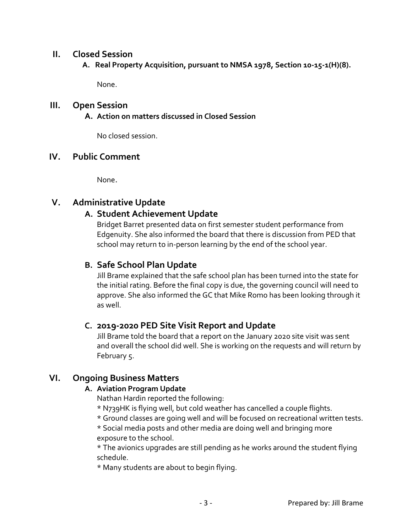### **II. Closed Session**

 **A. Real Property Acquisition, pursuant to NMSA 1978, Section 10-15-1(H)(8).** 

None.

## **III. Open Session**

**A. Action on matters discussed in Closed Session**

No closed session.

## **IV. Public Comment**

None.

# **V. Administrative Update**

# **A. Student Achievement Update**

Bridget Barret presented data on first semester student performance from Edgenuity. She also informed the board that there is discussion from PED that school may return to in-person learning by the end of the school year.

# **B. Safe School Plan Update**

Jill Brame explained that the safe school plan has been turned into the state for the initial rating. Before the final copy is due, the governing council will need to approve. She also informed the GC that Mike Romo has been looking through it as well.

# **C. 2019-2020 PED Site Visit Report and Update**

Jill Brame told the board that a report on the January 2020 site visit was sent and overall the school did well. She is working on the requests and will return by February 5.

# **VI. Ongoing Business Matters**

### **A. Aviation Program Update**

Nathan Hardin reported the following:

- \* N739HK is flying well, but cold weather has cancelled a couple flights.
- \* Ground classes are going well and will be focused on recreational written tests.

\* Social media posts and other media are doing well and bringing more exposure to the school.

\* The avionics upgrades are still pending as he works around the student flying schedule.

\* Many students are about to begin flying.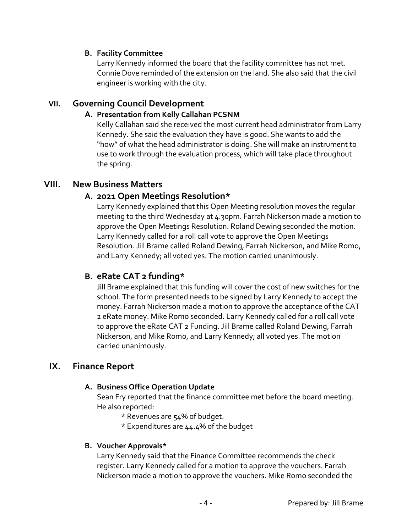### **B. Facility Committee**

Larry Kennedy informed the board that the facility committee has not met. Connie Dove reminded of the extension on the land. She also said that the civil engineer is working with the city.

## **VII. Governing Council Development**

### **A. Presentation from Kelly Callahan PCSNM**

Kelly Callahan said she received the most current head administrator from Larry Kennedy. She said the evaluation they have is good. She wants to add the "how" of what the head administrator is doing. She will make an instrument to use to work through the evaluation process, which will take place throughout the spring.

### **VIII. New Business Matters**

### **A. 2021 Open Meetings Resolution\***

Larry Kennedy explained that this Open Meeting resolution moves the regular meeting to the third Wednesday at 4:30pm. Farrah Nickerson made a motion to approve the Open Meetings Resolution. Roland Dewing seconded the motion. Larry Kennedy called for a roll call vote to approve the Open Meetings Resolution. Jill Brame called Roland Dewing, Farrah Nickerson, and Mike Romo, and Larry Kennedy; all voted yes. The motion carried unanimously.

# **B. eRate CAT 2 funding\***

Jill Brame explained that this funding will cover the cost of new switches for the school. The form presented needs to be signed by Larry Kennedy to accept the money. Farrah Nickerson made a motion to approve the acceptance of the CAT 2 eRate money. Mike Romo seconded. Larry Kennedy called for a roll call vote to approve the eRate CAT 2 Funding. Jill Brame called Roland Dewing, Farrah Nickerson, and Mike Romo, and Larry Kennedy; all voted yes. The motion carried unanimously.

# **IX. Finance Report**

### **A. Business Office Operation Update**

Sean Fry reported that the finance committee met before the board meeting. He also reported:

- \* Revenues are 54% of budget.
- \* Expenditures are 44.4% of the budget

### **B. Voucher Approvals\***

Larry Kennedy said that the Finance Committee recommends the check register. Larry Kennedy called for a motion to approve the vouchers. Farrah Nickerson made a motion to approve the vouchers. Mike Romo seconded the